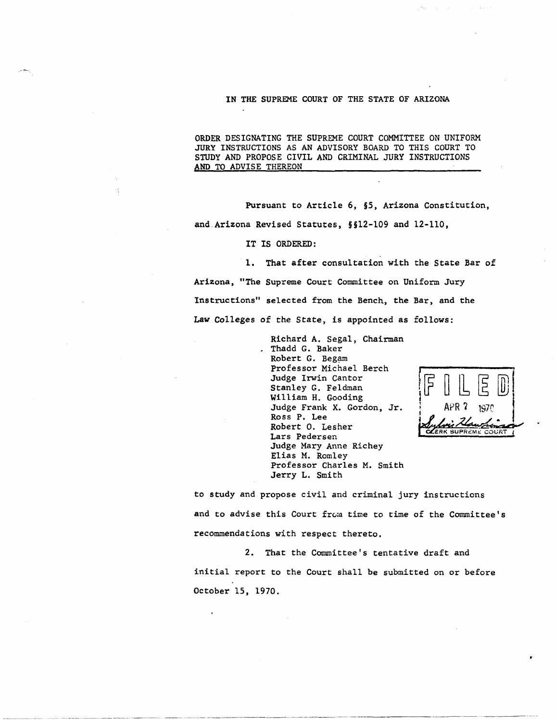## IN THE SUPREME COURT OF THE STATE OF ARIZONA

ORDER DESIGNATING THE SUPREME COURT COMMITTEE ON UNIFORM JURY INSTRUCTIONS AS AN ADVISORY BOARD TO THIS COURT TO STUDY AND PROPOSE CIVIL AND CRIMINAL JURY INSTRUCTIONS AND TO ADVISE THEREON

Pursuant to Article 6, §5, Arizona Constitution, and Arizona Revised Statutes, §§12-109 and 12-110,

IT IS ORDERED:

1. That after consultation with the State Bar of Arizona, "The Supreme Court Committee on Uniform Jury Instructions" selected from the Bench, the Bar, and the Law Colleges of the State, is appointed as follows:

> Richard A. Segal, Chairman Thadd G. Baker Robert G. Begam Professor Michael Berch Judge Irwin Cantor Stanley G. Feldman William H. Gooding Judge Frank X. Gordon, Jr. Ross P. Lee Robert O. Lesher Lars Pedersen Judge Mary Anne Richey Elias M. Romley Professor Charles M. Smith Jerry L. Smith



-----\_ ... \_---.\_---\_.

to study and propose civil and criminal jury instructions and to advise this Court from time to time of the Committee's recommendations with respect thereto.

2. That the Committee's tentative draft and initial report to the Court shall be submitted on or before October 15, 1970.